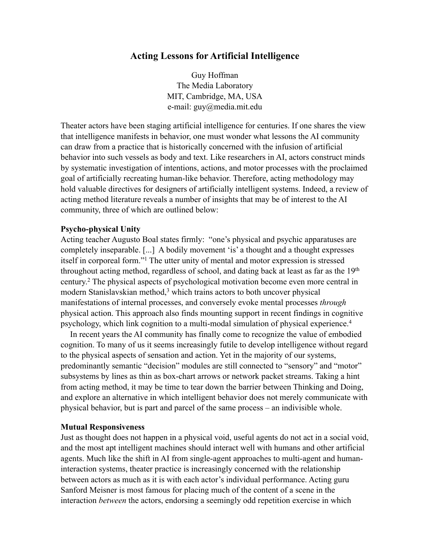# **Acting Lessons for Artificial Intelligence**

Guy Hoffman The Media Laboratory MIT, Cambridge, MA, USA e-mail: guy@media.mit.edu

Theater actors have been staging artificial intelligence for centuries. If one shares the view that intelligence manifests in behavior, one must wonder what lessons the AI community can draw from a practice that is historically concerned with the infusion of artificial behavior into such vessels as body and text. Like researchers in AI, actors construct minds by systematic investigation of intentions, actions, and motor processes with the proclaimed goal of artificially recreating human-like behavior. Therefore, acting methodology may hold valuable directives for designers of artificially intelligent systems. Indeed, a review of acting method literature reveals a number of insights that may be of interest to the AI community, three of which are outlined below:

### **Psycho-physical Unity**

Acting teacher Augusto Boal states firmly: "one's physical and psychic apparatuses are completely inseparable. [...] A bodily movement 'is' a thought and a thought expresses itself in corporeal form."1 The utter unity of mental and motor expression is stressed throughout acting method, regardless of school, and dating back at least as far as the 19th century. <sup>2</sup> The physical aspects of psychological motivation become even more central in modern Stanislavskian method,<sup>3</sup> which trains actors to both uncover physical manifestations of internal processes, and conversely evoke mental processes *through* physical action. This approach also finds mounting support in recent findings in cognitive psychology, which link cognition to a multi-modal simulation of physical experience.4

In recent years the AI community has finally come to recognize the value of embodied cognition. To many of us it seems increasingly futile to develop intelligence without regard to the physical aspects of sensation and action. Yet in the majority of our systems, predominantly semantic "decision" modules are still connected to "sensory" and "motor" subsystems by lines as thin as box-chart arrows or network packet streams. Taking a hint from acting method, it may be time to tear down the barrier between Thinking and Doing, and explore an alternative in which intelligent behavior does not merely communicate with physical behavior, but is part and parcel of the same process – an indivisible whole.

### **Mutual Responsiveness**

Just as thought does not happen in a physical void, useful agents do not act in a social void, and the most apt intelligent machines should interact well with humans and other artificial agents. Much like the shift in AI from single-agent approaches to multi-agent and humaninteraction systems, theater practice is increasingly concerned with the relationship between actors as much as it is with each actor's individual performance. Acting guru Sanford Meisner is most famous for placing much of the content of a scene in the interaction *between* the actors, endorsing a seemingly odd repetition exercise in which